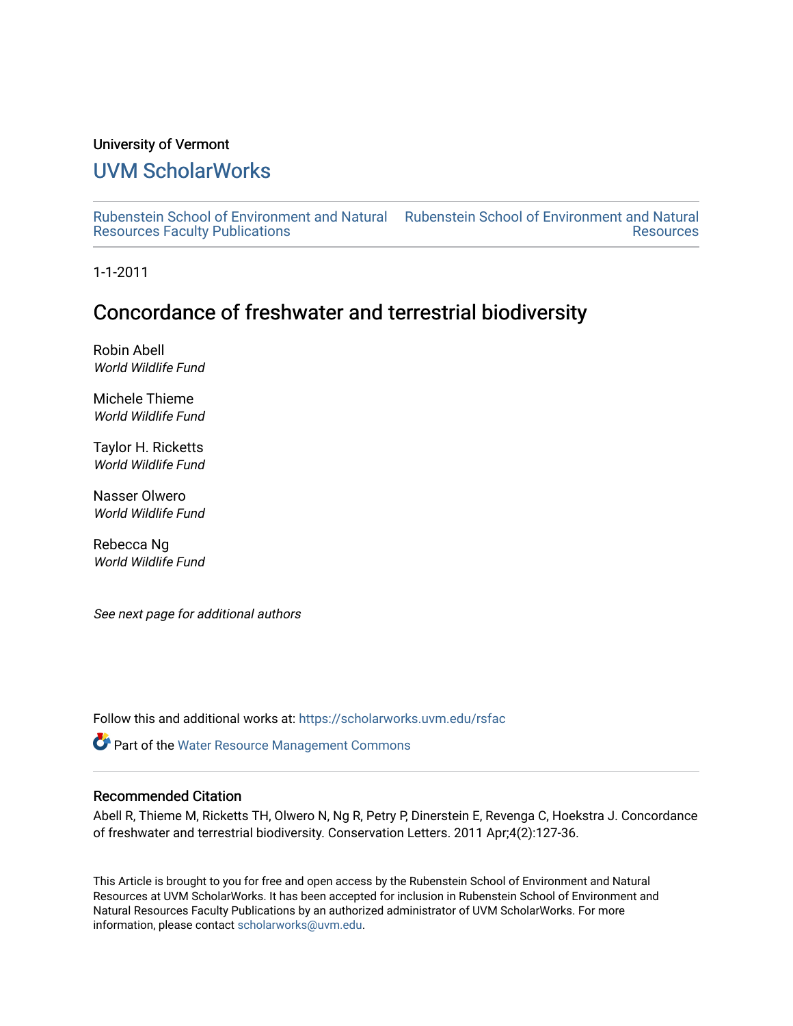# University of Vermont

# [UVM ScholarWorks](https://scholarworks.uvm.edu/)

[Rubenstein School of Environment and Natural](https://scholarworks.uvm.edu/rsfac) [Rubenstein School of Environment and Natural](https://scholarworks.uvm.edu/rs)  [Resources Faculty Publications](https://scholarworks.uvm.edu/rsfac)  **Resources** 

1-1-2011

# Concordance of freshwater and terrestrial biodiversity

Robin Abell World Wildlife Fund

Michele Thieme World Wildlife Fund

Taylor H. Ricketts World Wildlife Fund

Nasser Olwero World Wildlife Fund

Rebecca Ng World Wildlife Fund

See next page for additional authors

Follow this and additional works at: [https://scholarworks.uvm.edu/rsfac](https://scholarworks.uvm.edu/rsfac?utm_source=scholarworks.uvm.edu%2Frsfac%2F12&utm_medium=PDF&utm_campaign=PDFCoverPages) 

**Part of the [Water Resource Management Commons](http://network.bepress.com/hgg/discipline/1057?utm_source=scholarworks.uvm.edu%2Frsfac%2F12&utm_medium=PDF&utm_campaign=PDFCoverPages)** 

## Recommended Citation

Abell R, Thieme M, Ricketts TH, Olwero N, Ng R, Petry P, Dinerstein E, Revenga C, Hoekstra J. Concordance of freshwater and terrestrial biodiversity. Conservation Letters. 2011 Apr;4(2):127-36.

This Article is brought to you for free and open access by the Rubenstein School of Environment and Natural Resources at UVM ScholarWorks. It has been accepted for inclusion in Rubenstein School of Environment and Natural Resources Faculty Publications by an authorized administrator of UVM ScholarWorks. For more information, please contact [scholarworks@uvm.edu.](mailto:scholarworks@uvm.edu)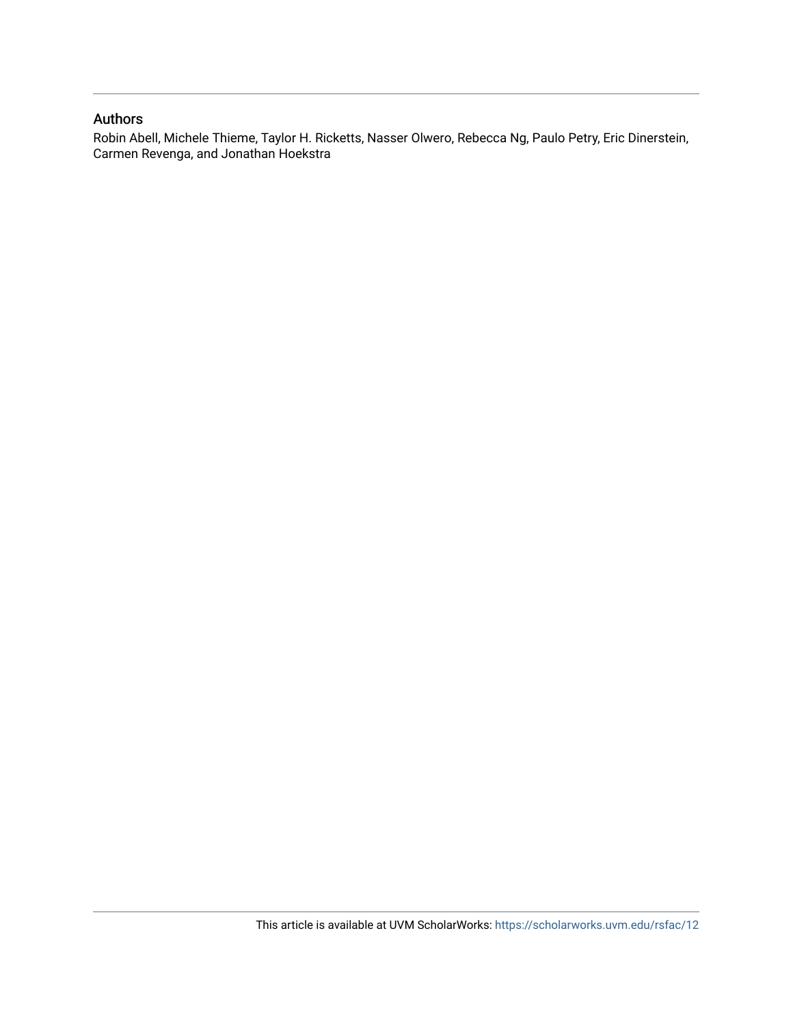# Authors

Robin Abell, Michele Thieme, Taylor H. Ricketts, Nasser Olwero, Rebecca Ng, Paulo Petry, Eric Dinerstein, Carmen Revenga, and Jonathan Hoekstra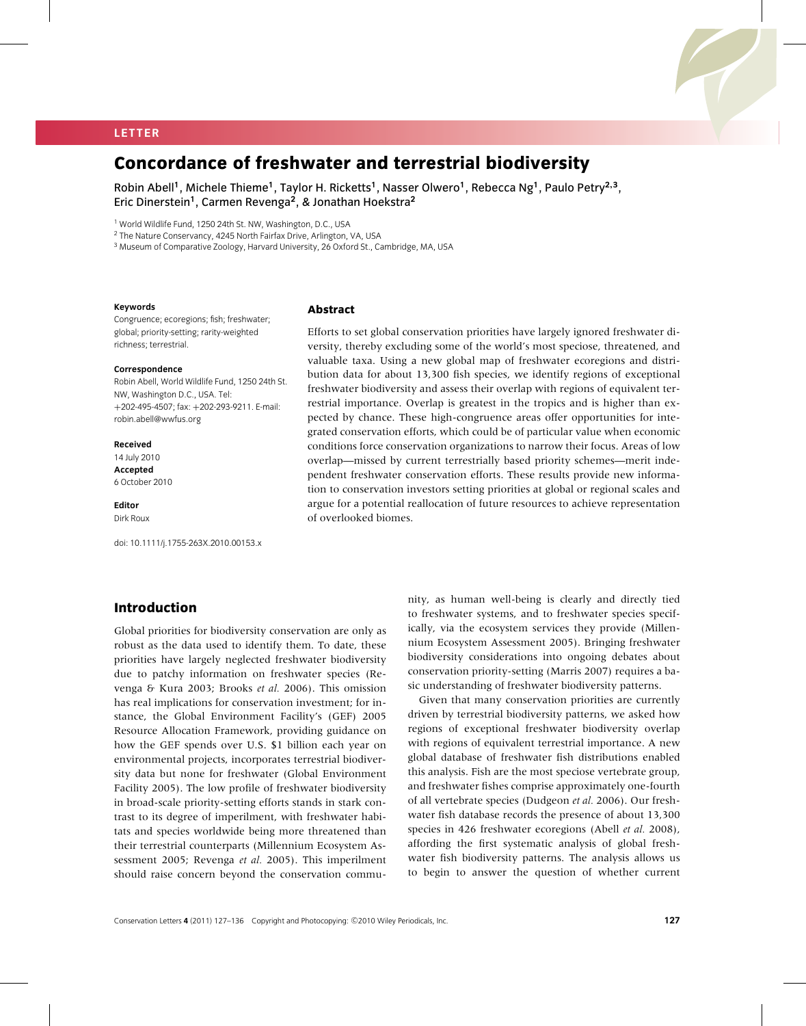#### **LETTER**

# **Concordance of freshwater and terrestrial biodiversity**

Robin Abell**<sup>1</sup>**, Michele Thieme**<sup>1</sup>**, Taylor H. Ricketts**<sup>1</sup>**, Nasser Olwero**<sup>1</sup>**, Rebecca Ng**<sup>1</sup>**, Paulo Petry**<sup>2</sup>***,***<sup>3</sup>**, Eric Dinerstein**<sup>1</sup>**, Carmen Revenga**<sup>2</sup>**, & Jonathan Hoekstra**<sup>2</sup>**

<sup>1</sup> World Wildlife Fund, 1250 24th St. NW, Washington, D.C., USA

<sup>2</sup> The Nature Conservancy, 4245 North Fairfax Drive, Arlington, VA, USA

<sup>3</sup> Museum of Comparative Zoology, Harvard University, 26 Oxford St., Cambridge, MA, USA

#### **Keywords**

Congruence; ecoregions; fish; freshwater; global; priority-setting; rarity-weighted richness; terrestrial.

#### **Correspondence**

Robin Abell, World Wildlife Fund, 1250 24th St. NW, Washington D.C., USA. Tel: +202-495-4507; fax: +202-293-9211. E-mail: robin.abell@wwfus.org

#### **Received**

14 July 2010 **Accepted** 6 October 2010

**Editor** Dirk Roux

doi: 10.1111/j.1755-263X.2010.00153.x

# **Introduction**

Global priorities for biodiversity conservation are only as robust as the data used to identify them. To date, these priorities have largely neglected freshwater biodiversity due to patchy information on freshwater species (Revenga & Kura 2003; Brooks *et al.* 2006). This omission has real implications for conservation investment; for instance, the Global Environment Facility's (GEF) 2005 Resource Allocation Framework, providing guidance on how the GEF spends over U.S. \$1 billion each year on environmental projects, incorporates terrestrial biodiversity data but none for freshwater (Global Environment Facility 2005). The low profile of freshwater biodiversity in broad-scale priority-setting efforts stands in stark contrast to its degree of imperilment, with freshwater habitats and species worldwide being more threatened than their terrestrial counterparts (Millennium Ecosystem Assessment 2005; Revenga *et al.* 2005). This imperilment should raise concern beyond the conservation commu-

**Abstract**

Efforts to set global conservation priorities have largely ignored freshwater diversity, thereby excluding some of the world's most speciose, threatened, and valuable taxa. Using a new global map of freshwater ecoregions and distribution data for about 13,300 fish species, we identify regions of exceptional freshwater biodiversity and assess their overlap with regions of equivalent terrestrial importance. Overlap is greatest in the tropics and is higher than expected by chance. These high-congruence areas offer opportunities for integrated conservation efforts, which could be of particular value when economic conditions force conservation organizations to narrow their focus. Areas of low overlap—missed by current terrestrially based priority schemes—merit independent freshwater conservation efforts. These results provide new information to conservation investors setting priorities at global or regional scales and argue for a potential reallocation of future resources to achieve representation of overlooked biomes.

> nity, as human well-being is clearly and directly tied to freshwater systems, and to freshwater species specifically, via the ecosystem services they provide (Millennium Ecosystem Assessment 2005). Bringing freshwater biodiversity considerations into ongoing debates about conservation priority-setting (Marris 2007) requires a basic understanding of freshwater biodiversity patterns.

> Given that many conservation priorities are currently driven by terrestrial biodiversity patterns, we asked how regions of exceptional freshwater biodiversity overlap with regions of equivalent terrestrial importance. A new global database of freshwater fish distributions enabled this analysis. Fish are the most speciose vertebrate group, and freshwater fishes comprise approximately one-fourth of all vertebrate species (Dudgeon *et al.* 2006). Our freshwater fish database records the presence of about 13,300 species in 426 freshwater ecoregions (Abell *et al.* 2008), affording the first systematic analysis of global freshwater fish biodiversity patterns. The analysis allows us to begin to answer the question of whether current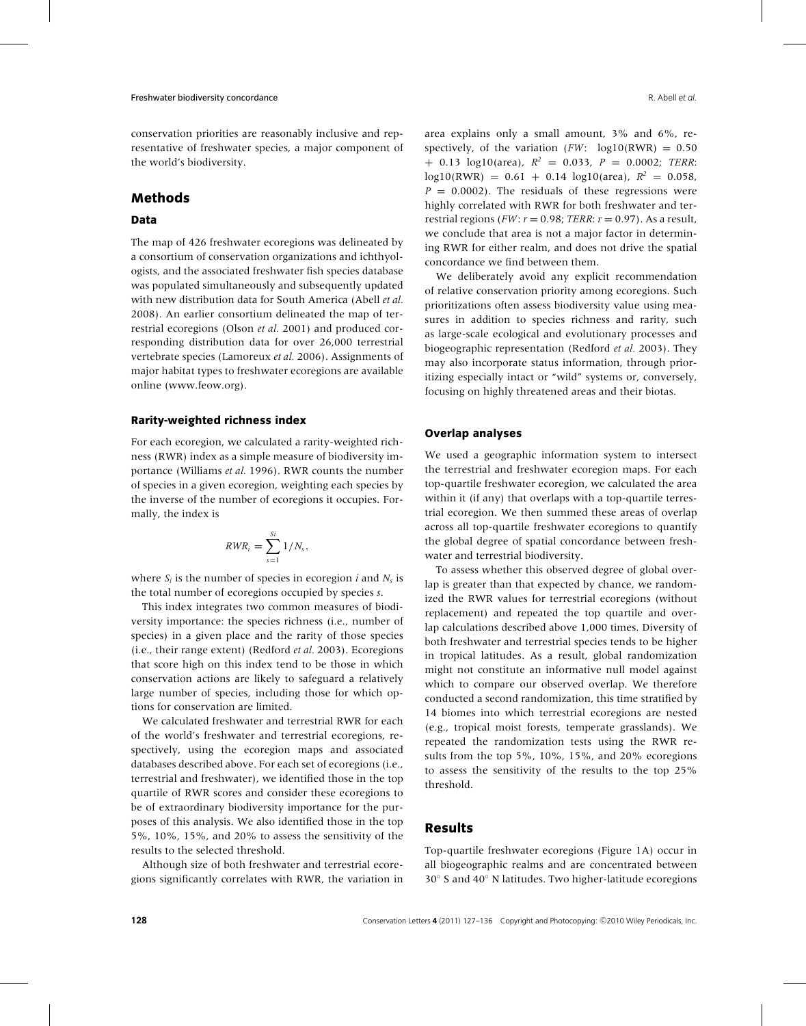conservation priorities are reasonably inclusive and representative of freshwater species, a major component of the world's biodiversity.

## **Methods**

#### **Data**

The map of 426 freshwater ecoregions was delineated by a consortium of conservation organizations and ichthyologists, and the associated freshwater fish species database was populated simultaneously and subsequently updated with new distribution data for South America (Abell *et al.* 2008). An earlier consortium delineated the map of terrestrial ecoregions (Olson *et al.* 2001) and produced corresponding distribution data for over 26,000 terrestrial vertebrate species (Lamoreux *et al.* 2006). Assignments of major habitat types to freshwater ecoregions are available online (www.feow.org).

#### **Rarity-weighted richness index**

For each ecoregion, we calculated a rarity-weighted richness (RWR) index as a simple measure of biodiversity importance (Williams *et al.* 1996). RWR counts the number of species in a given ecoregion, weighting each species by the inverse of the number of ecoregions it occupies. Formally, the index is

$$
RWR_i=\sum_{s=1}^{Si}1/N_s,
$$

where  $S_i$  is the number of species in ecoregion  $i$  and  $N_s$  is the total number of ecoregions occupied by species *s*.

This index integrates two common measures of biodiversity importance: the species richness (i.e., number of species) in a given place and the rarity of those species (i.e., their range extent) (Redford *et al.* 2003). Ecoregions that score high on this index tend to be those in which conservation actions are likely to safeguard a relatively large number of species, including those for which options for conservation are limited.

We calculated freshwater and terrestrial RWR for each of the world's freshwater and terrestrial ecoregions, respectively, using the ecoregion maps and associated databases described above. For each set of ecoregions (i.e., terrestrial and freshwater), we identified those in the top quartile of RWR scores and consider these ecoregions to be of extraordinary biodiversity importance for the purposes of this analysis. We also identified those in the top 5%, 10%, 15%, and 20% to assess the sensitivity of the results to the selected threshold.

Although size of both freshwater and terrestrial ecoregions significantly correlates with RWR, the variation in

area explains only a small amount, 3% and 6%, respectively, of the variation  $(FW: log10(RWR) = 0.50$  $+$  0.13 log10(area),  $R^2 = 0.033$ ,  $P = 0.0002$ ; *TERR*:  $log10(RWR) = 0.61 + 0.14 log10(area), R<sup>2</sup> = 0.058,$  $P = 0.0002$ ). The residuals of these regressions were highly correlated with RWR for both freshwater and terrestrial regions ( $FW: r = 0.98$ ; *TERR*:  $r = 0.97$ ). As a result, we conclude that area is not a major factor in determining RWR for either realm, and does not drive the spatial concordance we find between them.

We deliberately avoid any explicit recommendation of relative conservation priority among ecoregions. Such prioritizations often assess biodiversity value using measures in addition to species richness and rarity, such as large-scale ecological and evolutionary processes and biogeographic representation (Redford *et al.* 2003). They may also incorporate status information, through prioritizing especially intact or "wild" systems or, conversely, focusing on highly threatened areas and their biotas.

#### **Overlap analyses**

We used a geographic information system to intersect the terrestrial and freshwater ecoregion maps. For each top-quartile freshwater ecoregion, we calculated the area within it (if any) that overlaps with a top-quartile terrestrial ecoregion. We then summed these areas of overlap across all top-quartile freshwater ecoregions to quantify the global degree of spatial concordance between freshwater and terrestrial biodiversity.

To assess whether this observed degree of global overlap is greater than that expected by chance, we randomized the RWR values for terrestrial ecoregions (without replacement) and repeated the top quartile and overlap calculations described above 1,000 times. Diversity of both freshwater and terrestrial species tends to be higher in tropical latitudes. As a result, global randomization might not constitute an informative null model against which to compare our observed overlap. We therefore conducted a second randomization, this time stratified by 14 biomes into which terrestrial ecoregions are nested (e.g., tropical moist forests, temperate grasslands). We repeated the randomization tests using the RWR results from the top 5%, 10%, 15%, and 20% ecoregions to assess the sensitivity of the results to the top 25% threshold.

## **Results**

Top-quartile freshwater ecoregions (Figure 1A) occur in all biogeographic realms and are concentrated between 30◦ S and 40◦ N latitudes. Two higher-latitude ecoregions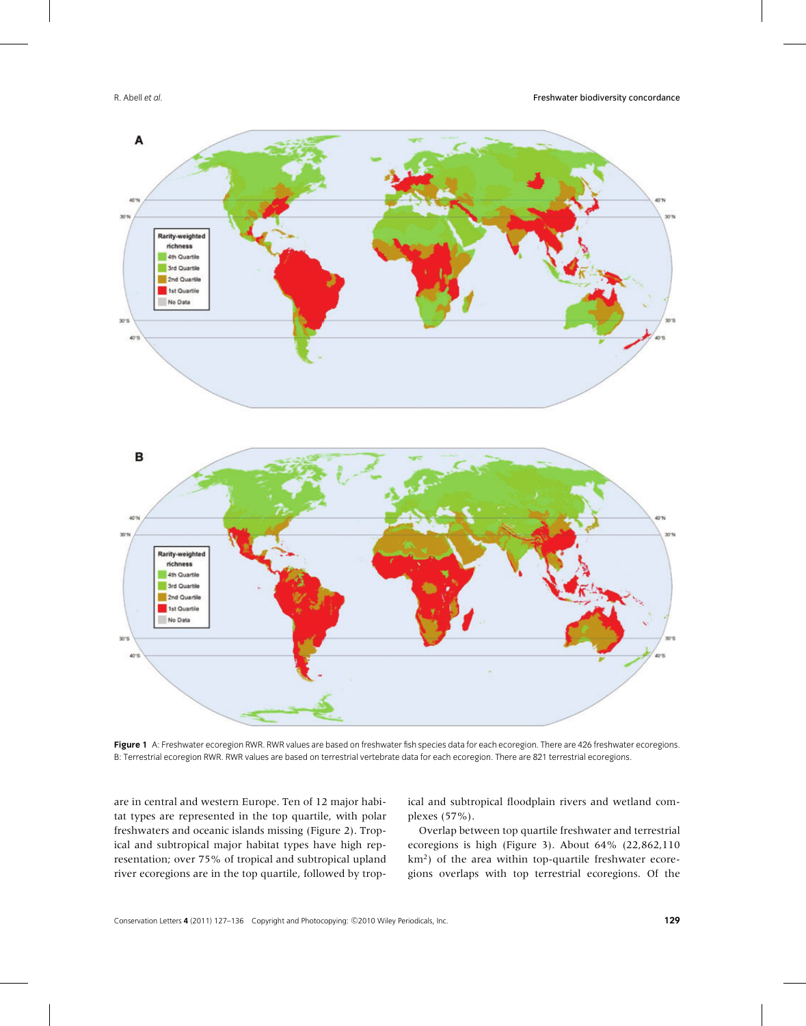

Figure 1 A: Freshwater ecoregion RWR. RWR values are based on freshwater fish species data for each ecoregion. There are 426 freshwater ecoregions. B: Terrestrial ecoregion RWR. RWR values are based on terrestrial vertebrate data for each ecoregion. There are 821 terrestrial ecoregions.

are in central and western Europe. Ten of 12 major habitat types are represented in the top quartile, with polar freshwaters and oceanic islands missing (Figure 2). Tropical and subtropical major habitat types have high representation; over 75% of tropical and subtropical upland river ecoregions are in the top quartile, followed by tropical and subtropical floodplain rivers and wetland complexes (57%).

Overlap between top quartile freshwater and terrestrial ecoregions is high (Figure 3). About 64% (22,862,110 km2) of the area within top-quartile freshwater ecoregions overlaps with top terrestrial ecoregions. Of the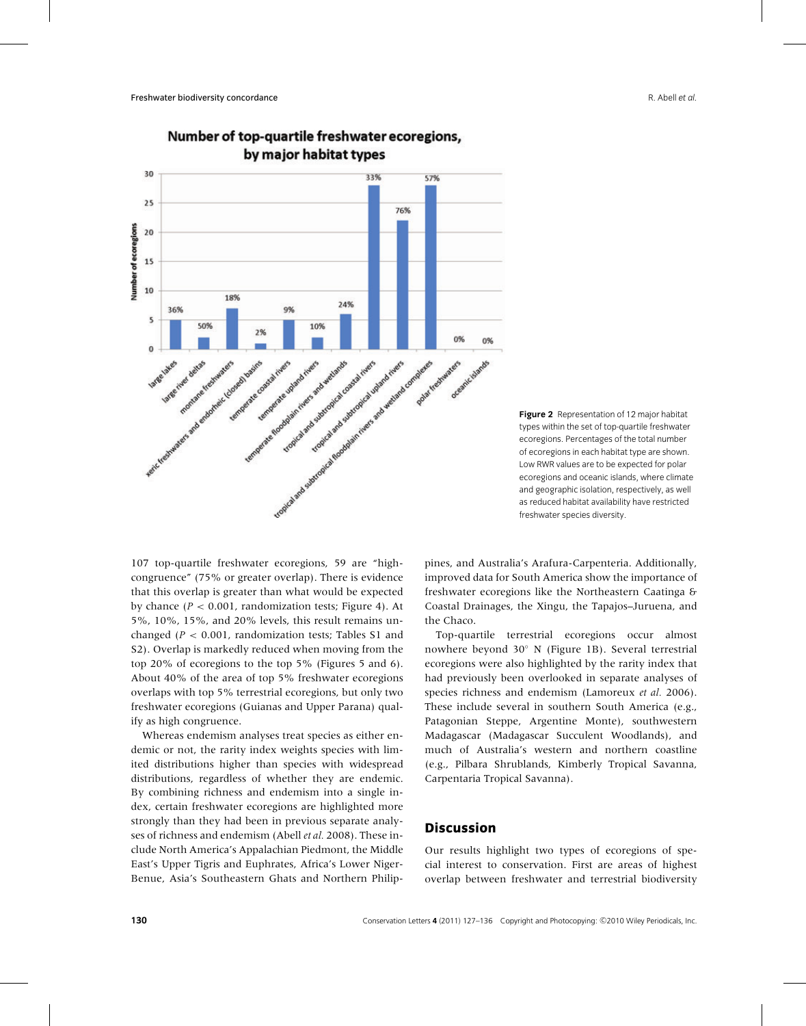

Number of top-quartile freshwater ecoregions, by major habitat types

**Figure 2** Representation of 12 major habitat types within the set of top-quartile freshwater ecoregions. Percentages of the total number of ecoregions in each habitat type are shown. Low RWR values are to be expected for polar ecoregions and oceanic islands, where climate and geographic isolation, respectively, as well as reduced habitat availability have restricted freshwater species diversity.

107 top-quartile freshwater ecoregions, 59 are "highcongruence" (75% or greater overlap). There is evidence that this overlap is greater than what would be expected by chance  $(P < 0.001$ , randomization tests; Figure 4). At 5%, 10%, 15%, and 20% levels, this result remains unchanged (*P* < 0.001, randomization tests; Tables S1 and S2). Overlap is markedly reduced when moving from the top 20% of ecoregions to the top 5% (Figures 5 and 6). About 40% of the area of top 5% freshwater ecoregions overlaps with top 5% terrestrial ecoregions, but only two freshwater ecoregions (Guianas and Upper Parana) qualify as high congruence.

Whereas endemism analyses treat species as either endemic or not, the rarity index weights species with limited distributions higher than species with widespread distributions, regardless of whether they are endemic. By combining richness and endemism into a single index, certain freshwater ecoregions are highlighted more strongly than they had been in previous separate analyses of richness and endemism (Abell *et al.* 2008). These include North America's Appalachian Piedmont, the Middle East's Upper Tigris and Euphrates, Africa's Lower Niger-Benue, Asia's Southeastern Ghats and Northern Philip-

pines, and Australia's Arafura-Carpenteria. Additionally, improved data for South America show the importance of freshwater ecoregions like the Northeastern Caatinga & Coastal Drainages, the Xingu, the Tapajos–Juruena, and the Chaco.

Top-quartile terrestrial ecoregions occur almost nowhere beyond 30◦ N (Figure 1B). Several terrestrial ecoregions were also highlighted by the rarity index that had previously been overlooked in separate analyses of species richness and endemism (Lamoreux *et al.* 2006). These include several in southern South America (e.g., Patagonian Steppe, Argentine Monte), southwestern Madagascar (Madagascar Succulent Woodlands), and much of Australia's western and northern coastline (e.g., Pilbara Shrublands, Kimberly Tropical Savanna, Carpentaria Tropical Savanna).

# **Discussion**

Our results highlight two types of ecoregions of special interest to conservation. First are areas of highest overlap between freshwater and terrestrial biodiversity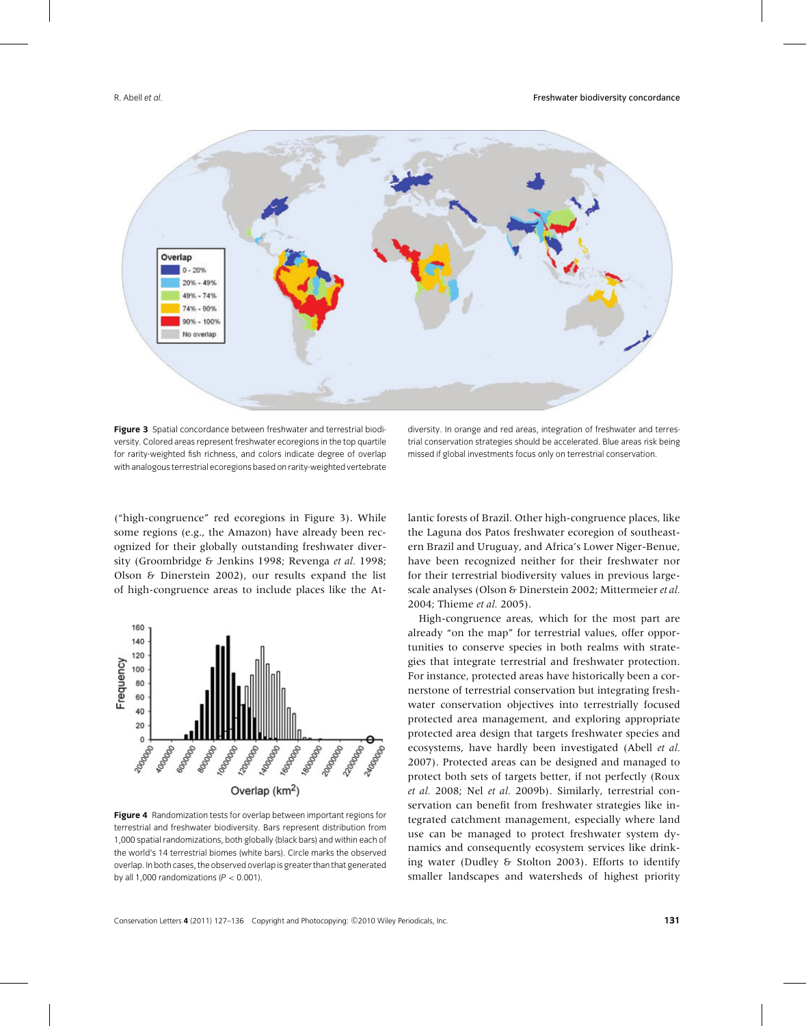

**Figure 3** Spatial concordance between freshwater and terrestrial biodiversity. Colored areas represent freshwater ecoregions in the top quartile for rarity-weighted fish richness, and colors indicate degree of overlap with analogous terrestrial ecoregions based on rarity-weighted vertebrate

("high-congruence" red ecoregions in Figure 3). While some regions (e.g., the Amazon) have already been recognized for their globally outstanding freshwater diversity (Groombridge & Jenkins 1998; Revenga *et al.* 1998; Olson & Dinerstein 2002), our results expand the list of high-congruence areas to include places like the At-



**Figure 4** Randomization tests for overlap between important regions for terrestrial and freshwater biodiversity. Bars represent distribution from 1,000 spatial randomizations, both globally (black bars) and within each of the world's 14 terrestrial biomes (white bars). Circle marks the observed overlap. In both cases, the observed overlap is greater than that generated by all 1,000 randomizations (*P* < 0.001).

diversity. In orange and red areas, integration of freshwater and terrestrial conservation strategies should be accelerated. Blue areas risk being missed if global investments focus only on terrestrial conservation.

lantic forests of Brazil. Other high-congruence places, like the Laguna dos Patos freshwater ecoregion of southeastern Brazil and Uruguay, and Africa's Lower Niger-Benue, have been recognized neither for their freshwater nor for their terrestrial biodiversity values in previous largescale analyses (Olson & Dinerstein 2002; Mittermeier *et al.* 2004; Thieme *et al.* 2005).

High-congruence areas, which for the most part are already "on the map" for terrestrial values, offer opportunities to conserve species in both realms with strategies that integrate terrestrial and freshwater protection. For instance, protected areas have historically been a cornerstone of terrestrial conservation but integrating freshwater conservation objectives into terrestrially focused protected area management, and exploring appropriate protected area design that targets freshwater species and ecosystems, have hardly been investigated (Abell *et al.* 2007). Protected areas can be designed and managed to protect both sets of targets better, if not perfectly (Roux *et al.* 2008; Nel *et al.* 2009b). Similarly, terrestrial conservation can benefit from freshwater strategies like integrated catchment management, especially where land use can be managed to protect freshwater system dynamics and consequently ecosystem services like drinking water (Dudley & Stolton 2003). Efforts to identify smaller landscapes and watersheds of highest priority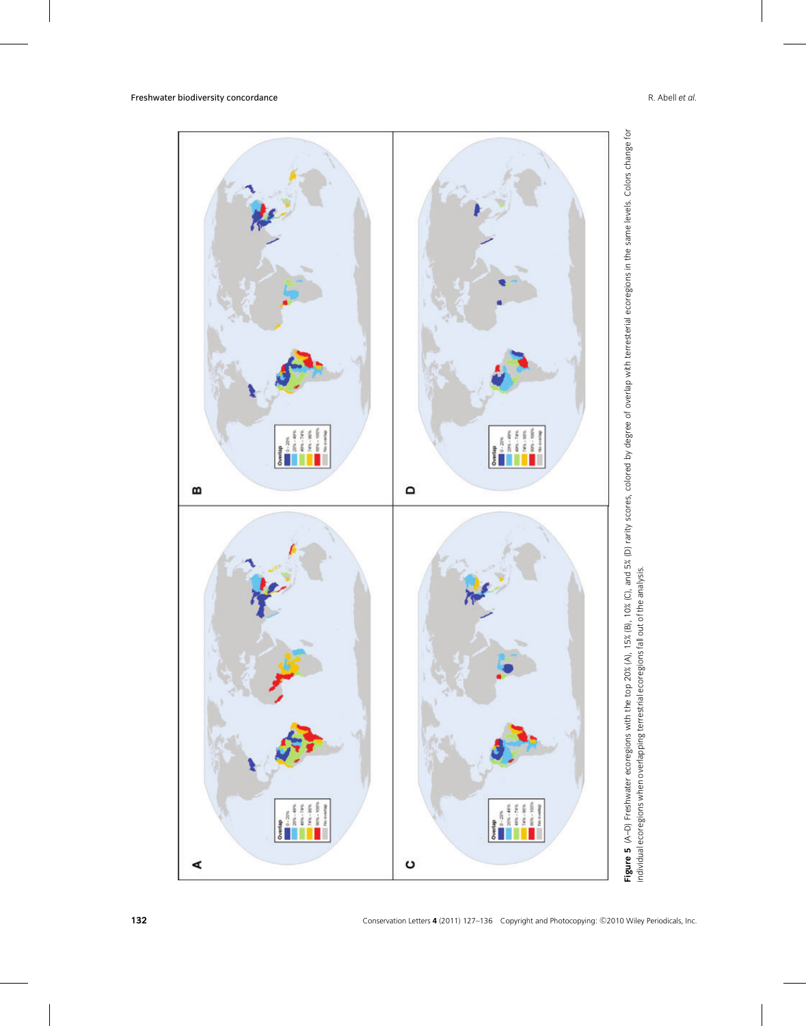

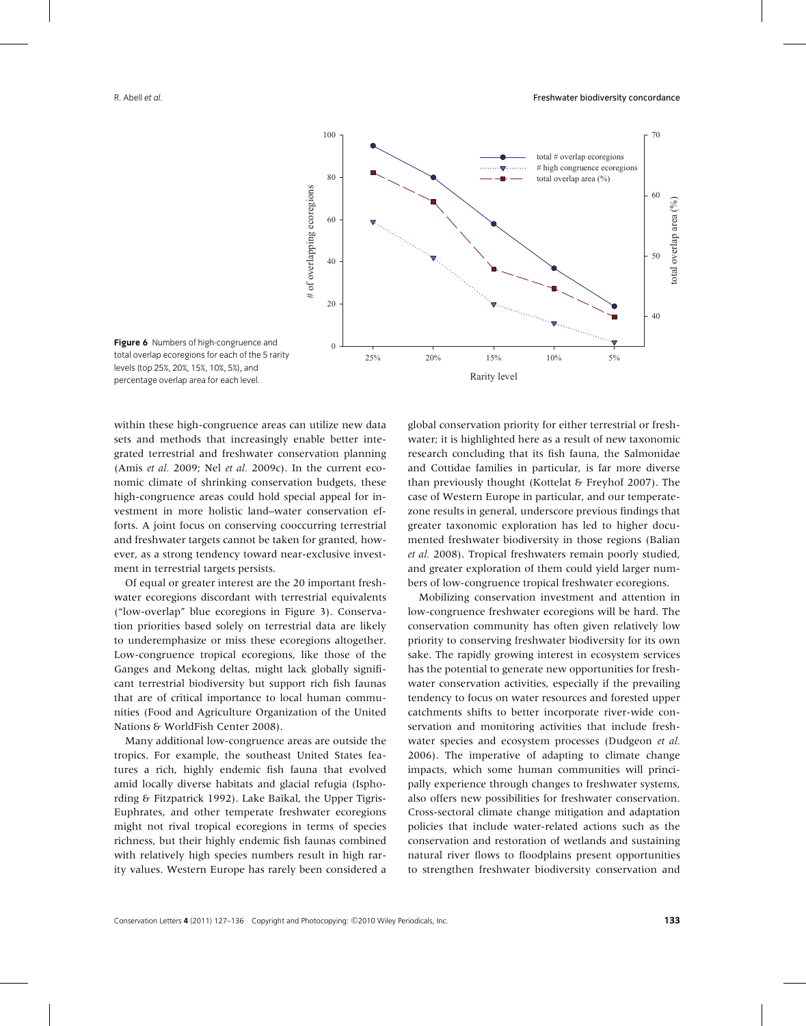

**Figure 6** Numbers of high-congruence and total overlap ecoregions for each of the 5 rarity levels (top 25%, 20%, 15%, 10%, 5%), and percentage overlap area for each level.

within these high-congruence areas can utilize new data sets and methods that increasingly enable better integrated terrestrial and freshwater conservation planning (Amis *et al.* 2009; Nel *et al.* 2009c). In the current economic climate of shrinking conservation budgets, these high-congruence areas could hold special appeal for investment in more holistic land–water conservation efforts. A joint focus on conserving cooccurring terrestrial and freshwater targets cannot be taken for granted, however, as a strong tendency toward near-exclusive investment in terrestrial targets persists.

Of equal or greater interest are the 20 important freshwater ecoregions discordant with terrestrial equivalents ("low-overlap" blue ecoregions in Figure 3). Conservation priorities based solely on terrestrial data are likely to underemphasize or miss these ecoregions altogether. Low-congruence tropical ecoregions, like those of the Ganges and Mekong deltas, might lack globally significant terrestrial biodiversity but support rich fish faunas that are of critical importance to local human communities (Food and Agriculture Organization of the United Nations & WorldFish Center 2008).

Many additional low-congruence areas are outside the tropics. For example, the southeast United States features a rich, highly endemic fish fauna that evolved amid locally diverse habitats and glacial refugia (Isphording & Fitzpatrick 1992). Lake Baikal, the Upper Tigris-Euphrates, and other temperate freshwater ecoregions might not rival tropical ecoregions in terms of species richness, but their highly endemic fish faunas combined with relatively high species numbers result in high rarity values. Western Europe has rarely been considered a

global conservation priority for either terrestrial or freshwater; it is highlighted here as a result of new taxonomic research concluding that its fish fauna, the Salmonidae and Cottidae families in particular, is far more diverse than previously thought (Kottelat & Freyhof 2007). The case of Western Europe in particular, and our temperatezone results in general, underscore previous findings that greater taxonomic exploration has led to higher documented freshwater biodiversity in those regions (Balian *et al.* 2008). Tropical freshwaters remain poorly studied, and greater exploration of them could yield larger numbers of low-congruence tropical freshwater ecoregions.

Mobilizing conservation investment and attention in low-congruence freshwater ecoregions will be hard. The conservation community has often given relatively low priority to conserving freshwater biodiversity for its own sake. The rapidly growing interest in ecosystem services has the potential to generate new opportunities for freshwater conservation activities, especially if the prevailing tendency to focus on water resources and forested upper catchments shifts to better incorporate river-wide conservation and monitoring activities that include freshwater species and ecosystem processes (Dudgeon *et al.* 2006). The imperative of adapting to climate change impacts, which some human communities will principally experience through changes to freshwater systems, also offers new possibilities for freshwater conservation. Cross-sectoral climate change mitigation and adaptation policies that include water-related actions such as the conservation and restoration of wetlands and sustaining natural river flows to floodplains present opportunities to strengthen freshwater biodiversity conservation and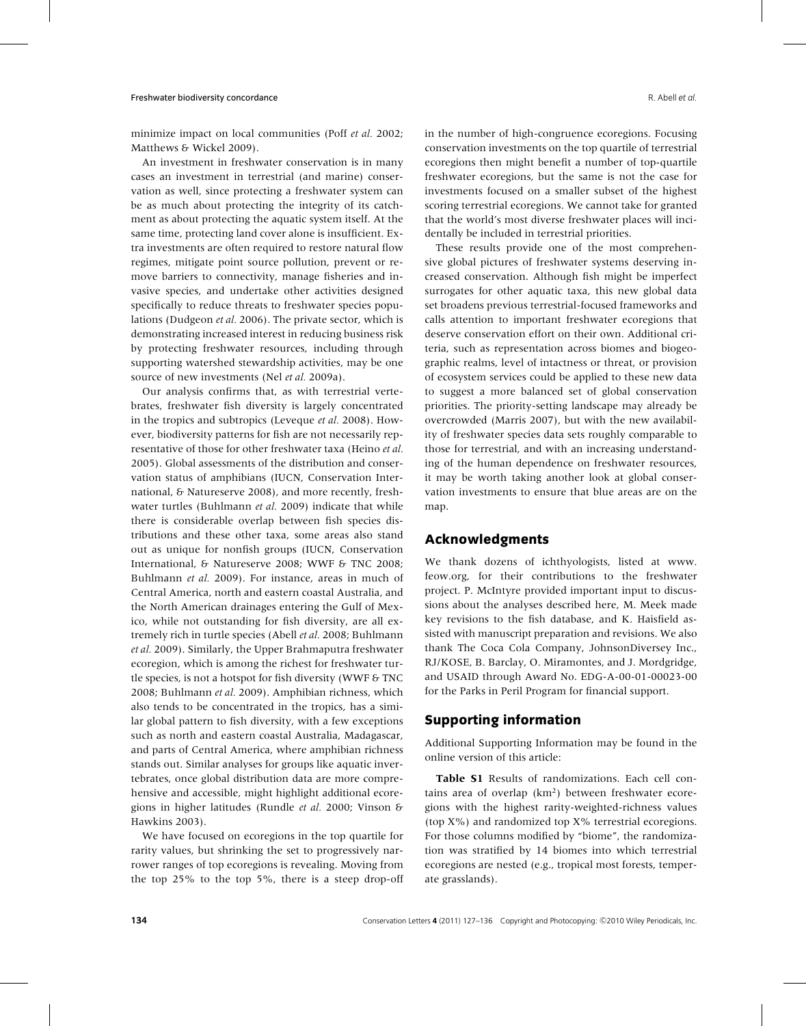minimize impact on local communities (Poff *et al.* 2002; Matthews & Wickel 2009).

An investment in freshwater conservation is in many cases an investment in terrestrial (and marine) conservation as well, since protecting a freshwater system can be as much about protecting the integrity of its catchment as about protecting the aquatic system itself. At the same time, protecting land cover alone is insufficient. Extra investments are often required to restore natural flow regimes, mitigate point source pollution, prevent or remove barriers to connectivity, manage fisheries and invasive species, and undertake other activities designed specifically to reduce threats to freshwater species populations (Dudgeon *et al.* 2006). The private sector, which is demonstrating increased interest in reducing business risk by protecting freshwater resources, including through supporting watershed stewardship activities, may be one source of new investments (Nel *et al.* 2009a).

Our analysis confirms that, as with terrestrial vertebrates, freshwater fish diversity is largely concentrated in the tropics and subtropics (Leveque *et al.* 2008). However, biodiversity patterns for fish are not necessarily representative of those for other freshwater taxa (Heino *et al.* 2005). Global assessments of the distribution and conservation status of amphibians (IUCN, Conservation International, & Natureserve 2008), and more recently, freshwater turtles (Buhlmann *et al.* 2009) indicate that while there is considerable overlap between fish species distributions and these other taxa, some areas also stand out as unique for nonfish groups (IUCN, Conservation International, & Natureserve 2008; WWF & TNC 2008; Buhlmann *et al.* 2009). For instance, areas in much of Central America, north and eastern coastal Australia, and the North American drainages entering the Gulf of Mexico, while not outstanding for fish diversity, are all extremely rich in turtle species (Abell *et al.* 2008; Buhlmann *et al.* 2009). Similarly, the Upper Brahmaputra freshwater ecoregion, which is among the richest for freshwater turtle species, is not a hotspot for fish diversity (WWF & TNC 2008; Buhlmann *et al.* 2009). Amphibian richness, which also tends to be concentrated in the tropics, has a similar global pattern to fish diversity, with a few exceptions such as north and eastern coastal Australia, Madagascar, and parts of Central America, where amphibian richness stands out. Similar analyses for groups like aquatic invertebrates, once global distribution data are more comprehensive and accessible, might highlight additional ecoregions in higher latitudes (Rundle *et al.* 2000; Vinson & Hawkins 2003).

We have focused on ecoregions in the top quartile for rarity values, but shrinking the set to progressively narrower ranges of top ecoregions is revealing. Moving from the top 25% to the top 5%, there is a steep drop-off in the number of high-congruence ecoregions. Focusing conservation investments on the top quartile of terrestrial ecoregions then might benefit a number of top-quartile freshwater ecoregions, but the same is not the case for investments focused on a smaller subset of the highest scoring terrestrial ecoregions. We cannot take for granted that the world's most diverse freshwater places will incidentally be included in terrestrial priorities.

These results provide one of the most comprehensive global pictures of freshwater systems deserving increased conservation. Although fish might be imperfect surrogates for other aquatic taxa, this new global data set broadens previous terrestrial-focused frameworks and calls attention to important freshwater ecoregions that deserve conservation effort on their own. Additional criteria, such as representation across biomes and biogeographic realms, level of intactness or threat, or provision of ecosystem services could be applied to these new data to suggest a more balanced set of global conservation priorities. The priority-setting landscape may already be overcrowded (Marris 2007), but with the new availability of freshwater species data sets roughly comparable to those for terrestrial, and with an increasing understanding of the human dependence on freshwater resources, it may be worth taking another look at global conservation investments to ensure that blue areas are on the map.

## **Acknowledgments**

We thank dozens of ichthyologists, listed at www. feow.org, for their contributions to the freshwater project. P. McIntyre provided important input to discussions about the analyses described here, M. Meek made key revisions to the fish database, and K. Haisfield assisted with manuscript preparation and revisions. We also thank The Coca Cola Company, JohnsonDiversey Inc., RJ/KOSE, B. Barclay, O. Miramontes, and J. Mordgridge, and USAID through Award No. EDG-A-00-01-00023-00 for the Parks in Peril Program for financial support.

## **Supporting information**

Additional Supporting Information may be found in the online version of this article:

**Table S1** Results of randomizations. Each cell contains area of overlap  $(km<sup>2</sup>)$  between freshwater ecoregions with the highest rarity-weighted-richness values (top X%) and randomized top X% terrestrial ecoregions. For those columns modified by "biome", the randomization was stratified by 14 biomes into which terrestrial ecoregions are nested (e.g., tropical most forests, temperate grasslands).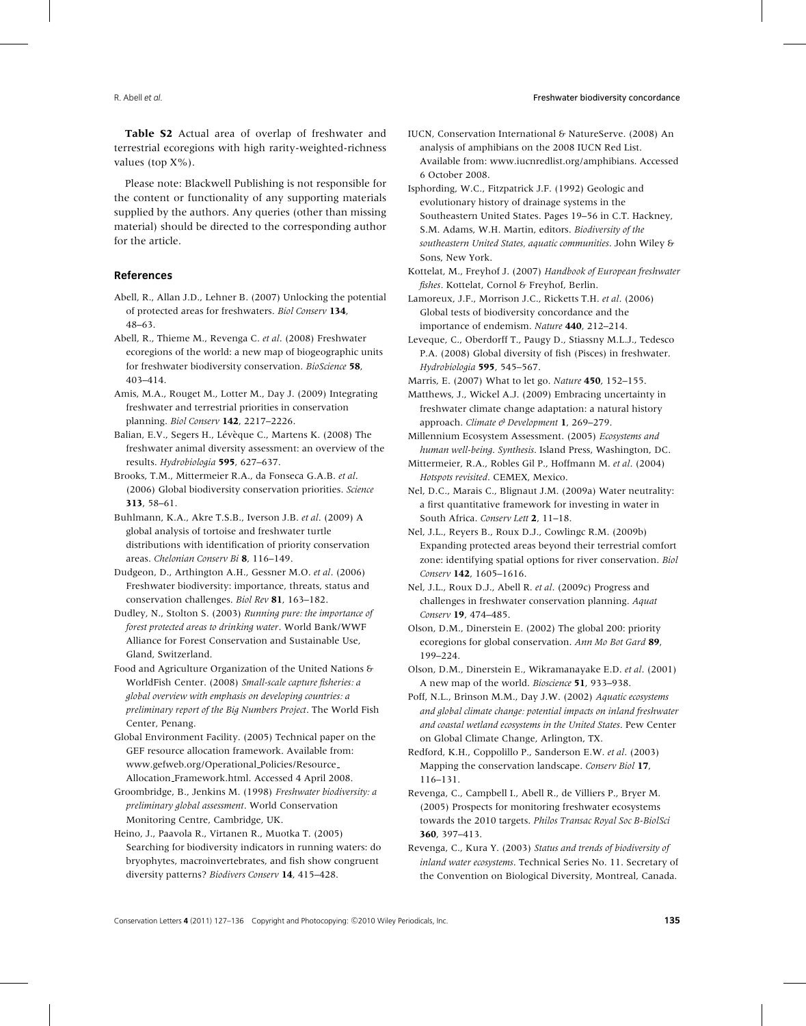**Table S2** Actual area of overlap of freshwater and terrestrial ecoregions with high rarity-weighted-richness values (top X%).

Please note: Blackwell Publishing is not responsible for the content or functionality of any supporting materials supplied by the authors. Any queries (other than missing material) should be directed to the corresponding author for the article.

#### **References**

- Abell, R., Allan J.D., Lehner B. (2007) Unlocking the potential of protected areas for freshwaters. *Biol Conserv* **134**, 48–63.
- Abell, R., Thieme M., Revenga C. *et al*. (2008) Freshwater ecoregions of the world: a new map of biogeographic units for freshwater biodiversity conservation. *BioScience* **58**, 403–414.
- Amis, M.A., Rouget M., Lotter M., Day J. (2009) Integrating freshwater and terrestrial priorities in conservation planning. *Biol Conserv* **142**, 2217–2226.
- Balian, E.V., Segers H., Lévèque C., Martens K. (2008) The freshwater animal diversity assessment: an overview of the results. *Hydrobiologia* **595**, 627–637.
- Brooks, T.M., Mittermeier R.A., da Fonseca G.A.B. *et al*. (2006) Global biodiversity conservation priorities. *Science* **313**, 58–61.
- Buhlmann, K.A., Akre T.S.B., Iverson J.B. *et al*. (2009) A global analysis of tortoise and freshwater turtle distributions with identification of priority conservation areas. *Chelonian Conserv Bi* **8**, 116–149.
- Dudgeon, D., Arthington A.H., Gessner M.O. *et al*. (2006) Freshwater biodiversity: importance, threats, status and conservation challenges. *Biol Rev* **81**, 163–182.
- Dudley, N., Stolton S. (2003) *Running pure: the importance of forest protected areas to drinking water*. World Bank/WWF Alliance for Forest Conservation and Sustainable Use, Gland, Switzerland.
- Food and Agriculture Organization of the United Nations & WorldFish Center. (2008) *Small-scale capture fisheries: a global overview with emphasis on developing countries: a preliminary report of the Big Numbers Project*. The World Fish Center, Penang.
- Global Environment Facility. (2005) Technical paper on the GEF resource allocation framework. Available from: www.gefweb.org/Operational Policies/Resource Allocation Framework.html. Accessed 4 April 2008.

Groombridge, B., Jenkins M. (1998) *Freshwater biodiversity: a preliminary global assessment*. World Conservation Monitoring Centre, Cambridge, UK.

Heino, J., Paavola R., Virtanen R., Muotka T. (2005) Searching for biodiversity indicators in running waters: do bryophytes, macroinvertebrates, and fish show congruent diversity patterns? *Biodivers Conserv* **14**, 415–428.

IUCN, Conservation International & NatureServe. (2008) An analysis of amphibians on the 2008 IUCN Red List. Available from: www.iucnredlist.org/amphibians. Accessed 6 October 2008.

- Isphording, W.C., Fitzpatrick J.F. (1992) Geologic and evolutionary history of drainage systems in the Southeastern United States. Pages 19–56 in C.T. Hackney, S.M. Adams, W.H. Martin, editors. *Biodiversity of the southeastern United States, aquatic communities*. John Wiley & Sons, New York.
- Kottelat, M., Freyhof J. (2007) *Handbook of European freshwater fishes*. Kottelat, Cornol & Freyhof, Berlin.
- Lamoreux, J.F., Morrison J.C., Ricketts T.H. *et al*. (2006) Global tests of biodiversity concordance and the importance of endemism. *Nature* **440**, 212–214.
- Leveque, C., Oberdorff T., Paugy D., Stiassny M.L.J., Tedesco P.A. (2008) Global diversity of fish (Pisces) in freshwater. *Hydrobiologia* **595**, 545–567.
- Marris, E. (2007) What to let go. *Nature* **450**, 152–155.
- Matthews, J., Wickel A.J. (2009) Embracing uncertainty in freshwater climate change adaptation: a natural history approach. *Climate & Development* **1**, 269–279.
- Millennium Ecosystem Assessment. (2005) *Ecosystems and human well-being*. *Synthesis*. Island Press, Washington, DC.
- Mittermeier, R.A., Robles Gil P., Hoffmann M. *et al*. (2004) *Hotspots revisited*. CEMEX, Mexico.
- Nel, D.C., Marais C., Blignaut J.M. (2009a) Water neutrality: a first quantitative framework for investing in water in South Africa. *Conserv Lett* **2**, 11–18.
- Nel, J.L., Reyers B., Roux D.J., Cowlingc R.M. (2009b) Expanding protected areas beyond their terrestrial comfort zone: identifying spatial options for river conservation. *Biol Conserv* **142**, 1605–1616.
- Nel, J.L., Roux D.J., Abell R. *et al*. (2009c) Progress and challenges in freshwater conservation planning. *Aquat Conserv* **19**, 474–485.

Olson, D.M., Dinerstein E. (2002) The global 200: priority ecoregions for global conservation. *Ann Mo Bot Gard* **89**, 199–224.

- Olson, D.M., Dinerstein E., Wikramanayake E.D. *et al*. (2001) A new map of the world. *Bioscience* **51**, 933–938.
- Poff, N.L., Brinson M.M., Day J.W. (2002) *Aquatic ecosystems and global climate change: potential impacts on inland freshwater and coastal wetland ecosystems in the United States*. Pew Center on Global Climate Change, Arlington, TX.
- Redford, K.H., Coppolillo P., Sanderson E.W. *et al*. (2003) Mapping the conservation landscape. *Conserv Biol* **17**, 116–131.
- Revenga, C., Campbell I., Abell R., de Villiers P., Bryer M. (2005) Prospects for monitoring freshwater ecosystems towards the 2010 targets. *Philos Transac Royal Soc B-BiolSci* **360**, 397–413.

Revenga, C., Kura Y. (2003) *Status and trends of biodiversity of inland water ecosystems*. Technical Series No. 11. Secretary of the Convention on Biological Diversity, Montreal, Canada.